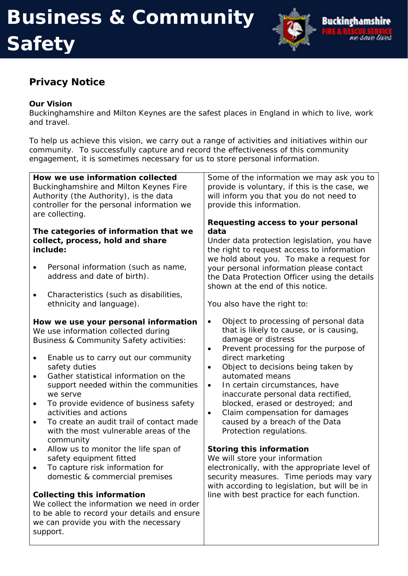### **Safety**



### **Privacy Notice**

#### **Our Vision**

support.

Buckinghamshire and Milton Keynes are the safest places in England in which to live, work and travel.

To help us achieve this vision, we carry out a range of activities and initiatives within our community. To successfully capture and record the effectiveness of this community engagement, it is sometimes necessary for us to store personal information.

| How we use information collected<br>Buckinghamshire and Milton Keynes Fire<br>Authority (the Authority), is the data<br>controller for the personal information we<br>are collecting.                                                                                                                                                                                                                                                                                                      | Some of the information we may ask you to<br>provide is voluntary, if this is the case, we<br>will inform you that you do not need to<br>provide this information.<br>Requesting access to your personal                                                                                                                                                                                                                                                                                                   |
|--------------------------------------------------------------------------------------------------------------------------------------------------------------------------------------------------------------------------------------------------------------------------------------------------------------------------------------------------------------------------------------------------------------------------------------------------------------------------------------------|------------------------------------------------------------------------------------------------------------------------------------------------------------------------------------------------------------------------------------------------------------------------------------------------------------------------------------------------------------------------------------------------------------------------------------------------------------------------------------------------------------|
| The categories of information that we                                                                                                                                                                                                                                                                                                                                                                                                                                                      | data                                                                                                                                                                                                                                                                                                                                                                                                                                                                                                       |
| collect, process, hold and share                                                                                                                                                                                                                                                                                                                                                                                                                                                           | Under data protection legislation, you have                                                                                                                                                                                                                                                                                                                                                                                                                                                                |
| include:                                                                                                                                                                                                                                                                                                                                                                                                                                                                                   | the right to request access to information                                                                                                                                                                                                                                                                                                                                                                                                                                                                 |
| Personal information (such as name,<br>$\bullet$<br>address and date of birth).                                                                                                                                                                                                                                                                                                                                                                                                            | we hold about you. To make a request for<br>your personal information please contact<br>the Data Protection Officer using the details<br>shown at the end of this notice.                                                                                                                                                                                                                                                                                                                                  |
| Characteristics (such as disabilities,<br>$\bullet$                                                                                                                                                                                                                                                                                                                                                                                                                                        |                                                                                                                                                                                                                                                                                                                                                                                                                                                                                                            |
| ethnicity and language).                                                                                                                                                                                                                                                                                                                                                                                                                                                                   | You also have the right to:                                                                                                                                                                                                                                                                                                                                                                                                                                                                                |
| How we use your personal information<br>We use information collected during<br>Business & Community Safety activities:<br>Enable us to carry out our community<br>$\bullet$<br>safety duties<br>Gather statistical information on the<br>$\bullet$<br>support needed within the communities<br>we serve<br>To provide evidence of business safety<br>activities and actions<br>To create an audit trail of contact made<br>$\bullet$<br>with the most vulnerable areas of the<br>community | Object to processing of personal data<br>$\bullet$<br>that is likely to cause, or is causing,<br>damage or distress<br>Prevent processing for the purpose of<br>$\bullet$<br>direct marketing<br>Object to decisions being taken by<br>$\bullet$<br>automated means<br>In certain circumstances, have<br>$\bullet$<br>inaccurate personal data rectified,<br>blocked, erased or destroyed; and<br>Claim compensation for damages<br>$\bullet$<br>caused by a breach of the Data<br>Protection regulations. |
| Allow us to monitor the life span of<br>$\bullet$                                                                                                                                                                                                                                                                                                                                                                                                                                          | <b>Storing this information</b>                                                                                                                                                                                                                                                                                                                                                                                                                                                                            |
| safety equipment fitted                                                                                                                                                                                                                                                                                                                                                                                                                                                                    | We will store your information                                                                                                                                                                                                                                                                                                                                                                                                                                                                             |
| To capture risk information for<br>$\bullet$                                                                                                                                                                                                                                                                                                                                                                                                                                               | electronically, with the appropriate level of                                                                                                                                                                                                                                                                                                                                                                                                                                                              |
| domestic & commercial premises                                                                                                                                                                                                                                                                                                                                                                                                                                                             | security measures. Time periods may vary                                                                                                                                                                                                                                                                                                                                                                                                                                                                   |
|                                                                                                                                                                                                                                                                                                                                                                                                                                                                                            | with according to legislation, but will be in                                                                                                                                                                                                                                                                                                                                                                                                                                                              |
| <b>Collecting this information</b>                                                                                                                                                                                                                                                                                                                                                                                                                                                         | line with best practice for each function.                                                                                                                                                                                                                                                                                                                                                                                                                                                                 |
| We collect the information we need in order                                                                                                                                                                                                                                                                                                                                                                                                                                                |                                                                                                                                                                                                                                                                                                                                                                                                                                                                                                            |
| to be able to record your details and ensure                                                                                                                                                                                                                                                                                                                                                                                                                                               |                                                                                                                                                                                                                                                                                                                                                                                                                                                                                                            |
| we can provide you with the necessary                                                                                                                                                                                                                                                                                                                                                                                                                                                      |                                                                                                                                                                                                                                                                                                                                                                                                                                                                                                            |